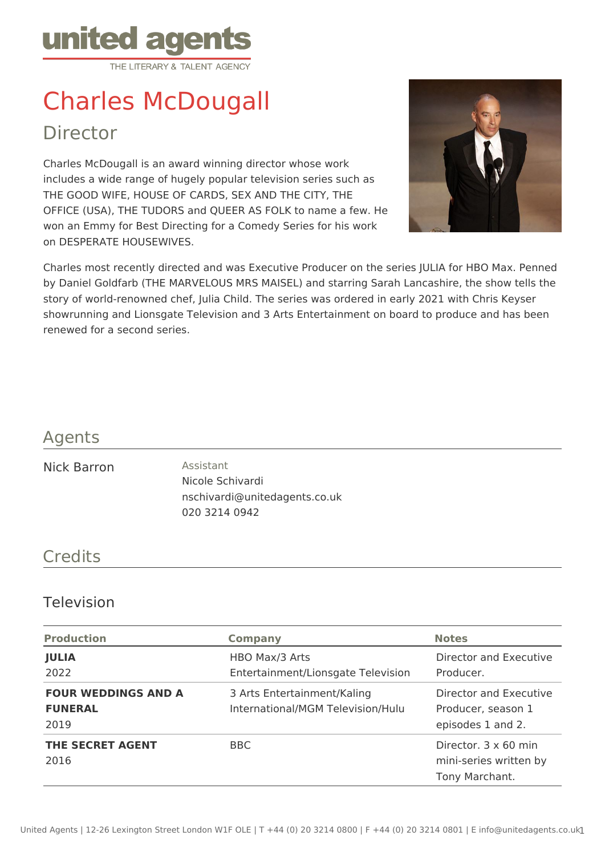

# Charles McDougall Director

Charles McDougall is an award winning director whose work includes a wide range of hugely popular television series such as THE GOOD WIFE, HOUSE OF CARDS, SEX AND THE CITY, THE OFFICE (USA), THE TUDORS and QUEER AS FOLK to name a few. He won an Emmy for Best Directing for a Comedy Series for his work on DESPERATE HOUSEWIVES.



Charles most recently directed and was Executive Producer on the series JULIA for HBO Max. Penned by Daniel Goldfarb (THE MARVELOUS MRS MAISEL) and starring Sarah Lancashire, the show tells the story of world-renowned chef, Julia Child. The series was ordered in early 2021 with Chris Keyser showrunning and Lionsgate Television and 3 Arts Entertainment on board to produce and has been renewed for a second series.

### Agents

#### Nick Barron **Assistant**

Nicole Schivardi nschivardi@unitedagents.co.uk 020 3214 0942

## **Credits**

#### Television

| <b>Production</b>                                    | <b>Company</b>                                                   | <b>Notes</b>                                                      |
|------------------------------------------------------|------------------------------------------------------------------|-------------------------------------------------------------------|
| <b>JULIA</b><br>2022                                 | HBO Max/3 Arts<br>Entertainment/Lionsgate Television             | Director and Executive<br>Producer.                               |
| <b>FOUR WEDDINGS AND A</b><br><b>FUNERAL</b><br>2019 | 3 Arts Entertainment/Kaling<br>International/MGM Television/Hulu | Director and Executive<br>Producer, season 1<br>episodes 1 and 2. |
| <b>THE SECRET AGENT</b><br>2016                      | BBC                                                              | Director. 3 x 60 min<br>mini-series written by<br>Tony Marchant.  |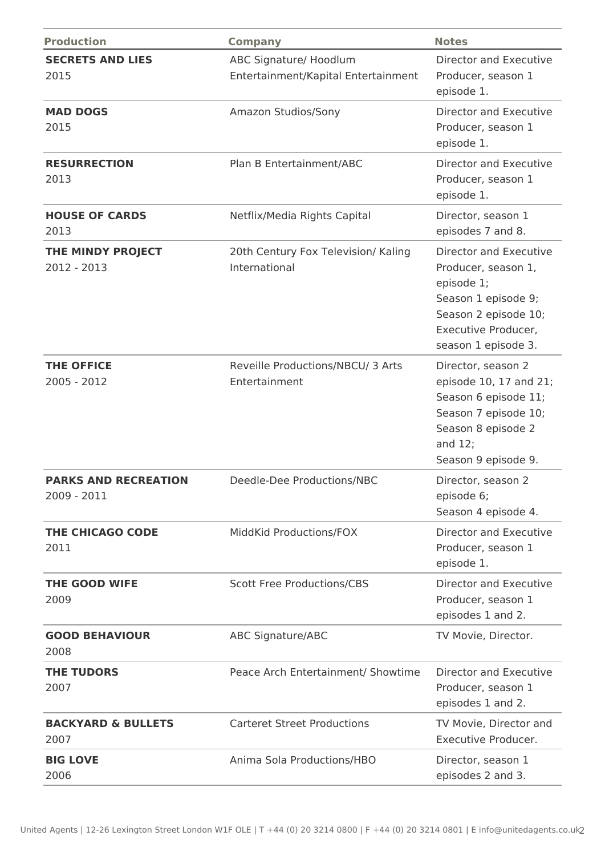| <b>Production</b>                          | <b>Company</b>                                                | <b>Notes</b>                                                                                                                                             |
|--------------------------------------------|---------------------------------------------------------------|----------------------------------------------------------------------------------------------------------------------------------------------------------|
| <b>SECRETS AND LIES</b><br>2015            | ABC Signature/ Hoodlum<br>Entertainment/Kapital Entertainment | Director and Executive<br>Producer, season 1<br>episode 1.                                                                                               |
| <b>MAD DOGS</b><br>2015                    | Amazon Studios/Sony                                           | Director and Executive<br>Producer, season 1<br>episode 1.                                                                                               |
| <b>RESURRECTION</b><br>2013                | Plan B Entertainment/ABC                                      | Director and Executive<br>Producer, season 1<br>episode 1.                                                                                               |
| <b>HOUSE OF CARDS</b><br>2013              | Netflix/Media Rights Capital                                  | Director, season 1<br>episodes 7 and 8.                                                                                                                  |
| THE MINDY PROJECT<br>2012 - 2013           | 20th Century Fox Television/ Kaling<br>International          | Director and Executive<br>Producer, season 1,<br>episode 1;<br>Season 1 episode 9;<br>Season 2 episode 10;<br>Executive Producer,<br>season 1 episode 3. |
| <b>THE OFFICE</b><br>2005 - 2012           | Reveille Productions/NBCU/ 3 Arts<br>Entertainment            | Director, season 2<br>episode 10, 17 and 21;<br>Season 6 episode 11;<br>Season 7 episode 10;<br>Season 8 episode 2<br>and $12;$<br>Season 9 episode 9.   |
| <b>PARKS AND RECREATION</b><br>2009 - 2011 | Deedle-Dee Productions/NBC                                    | Director, season 2<br>episode 6;<br>Season 4 episode 4.                                                                                                  |
| THE CHICAGO CODE<br>2011                   | MiddKid Productions/FOX                                       | Director and Executive<br>Producer, season 1<br>episode 1.                                                                                               |
| <b>THE GOOD WIFE</b><br>2009               | <b>Scott Free Productions/CBS</b>                             | Director and Executive<br>Producer, season 1<br>episodes 1 and 2.                                                                                        |
| <b>GOOD BEHAVIOUR</b><br>2008              | <b>ABC Signature/ABC</b>                                      | TV Movie, Director.                                                                                                                                      |
| <b>THE TUDORS</b><br>2007                  | Peace Arch Entertainment/ Showtime                            | Director and Executive<br>Producer, season 1<br>episodes 1 and 2.                                                                                        |
| <b>BACKYARD &amp; BULLETS</b><br>2007      | <b>Carteret Street Productions</b>                            | TV Movie, Director and<br>Executive Producer.                                                                                                            |
| <b>BIG LOVE</b><br>2006                    | Anima Sola Productions/HBO                                    | Director, season 1<br>episodes 2 and 3.                                                                                                                  |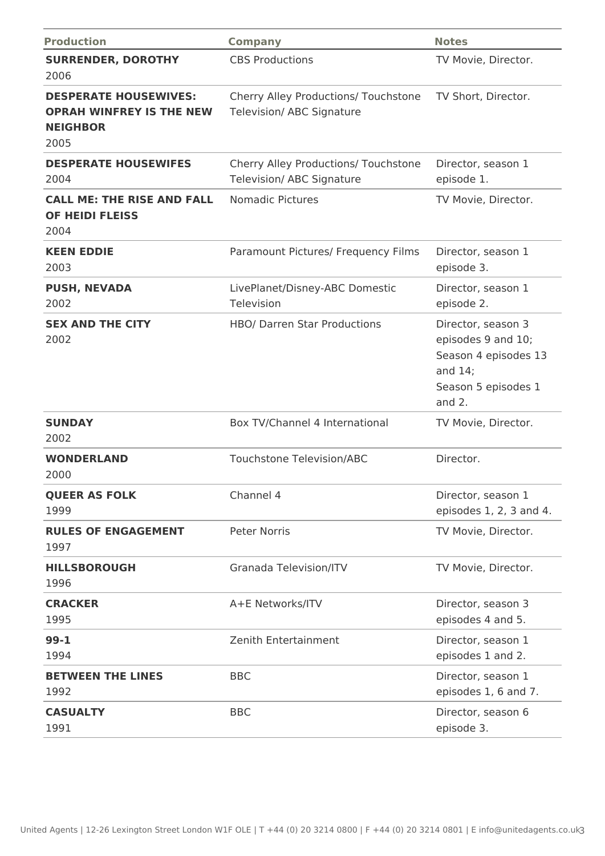| <b>Production</b>                                                                          | <b>Company</b>                                                           | <b>Notes</b>                                                                                                     |
|--------------------------------------------------------------------------------------------|--------------------------------------------------------------------------|------------------------------------------------------------------------------------------------------------------|
| <b>SURRENDER, DOROTHY</b><br>2006                                                          | <b>CBS Productions</b>                                                   | TV Movie, Director.                                                                                              |
| <b>DESPERATE HOUSEWIVES:</b><br><b>OPRAH WINFREY IS THE NEW</b><br><b>NEIGHBOR</b><br>2005 | Cherry Alley Productions/ Touchstone<br><b>Television/ ABC Signature</b> | TV Short, Director.                                                                                              |
| <b>DESPERATE HOUSEWIFES</b><br>2004                                                        | Cherry Alley Productions/ Touchstone<br><b>Television/ ABC Signature</b> | Director, season 1<br>episode 1.                                                                                 |
| <b>CALL ME: THE RISE AND FALL</b><br><b>OF HEIDI FLEISS</b><br>2004                        | <b>Nomadic Pictures</b>                                                  | TV Movie, Director.                                                                                              |
| <b>KEEN EDDIE</b><br>2003                                                                  | Paramount Pictures/ Frequency Films                                      | Director, season 1<br>episode 3.                                                                                 |
| <b>PUSH, NEVADA</b><br>2002                                                                | LivePlanet/Disney-ABC Domestic<br>Television                             | Director, season 1<br>episode 2.                                                                                 |
| <b>SEX AND THE CITY</b><br>2002                                                            | <b>HBO/ Darren Star Productions</b>                                      | Director, season 3<br>episodes 9 and 10;<br>Season 4 episodes 13<br>and $14;$<br>Season 5 episodes 1<br>and $2.$ |
| <b>SUNDAY</b><br>2002                                                                      | Box TV/Channel 4 International                                           | TV Movie, Director.                                                                                              |
| <b>WONDERLAND</b><br>2000                                                                  | <b>Touchstone Television/ABC</b>                                         | Director.                                                                                                        |
| <b>QUEER AS FOLK</b><br>1999                                                               | Channel 4                                                                | Director, season 1<br>episodes 1, 2, 3 and 4.                                                                    |
| <b>RULES OF ENGAGEMENT</b><br>1997                                                         | <b>Peter Norris</b>                                                      | TV Movie, Director.                                                                                              |
| <b>HILLSBOROUGH</b><br>1996                                                                | <b>Granada Television/ITV</b>                                            | TV Movie, Director.                                                                                              |
| <b>CRACKER</b><br>1995                                                                     | A+E Networks/ITV                                                         | Director, season 3<br>episodes 4 and 5.                                                                          |
| $99 - 1$<br>1994                                                                           | Zenith Entertainment                                                     | Director, season 1<br>episodes 1 and 2.                                                                          |
| <b>BETWEEN THE LINES</b><br>1992                                                           | <b>BBC</b>                                                               | Director, season 1<br>episodes 1, 6 and 7.                                                                       |
| <b>CASUALTY</b><br>1991                                                                    | <b>BBC</b>                                                               | Director, season 6<br>episode 3.                                                                                 |